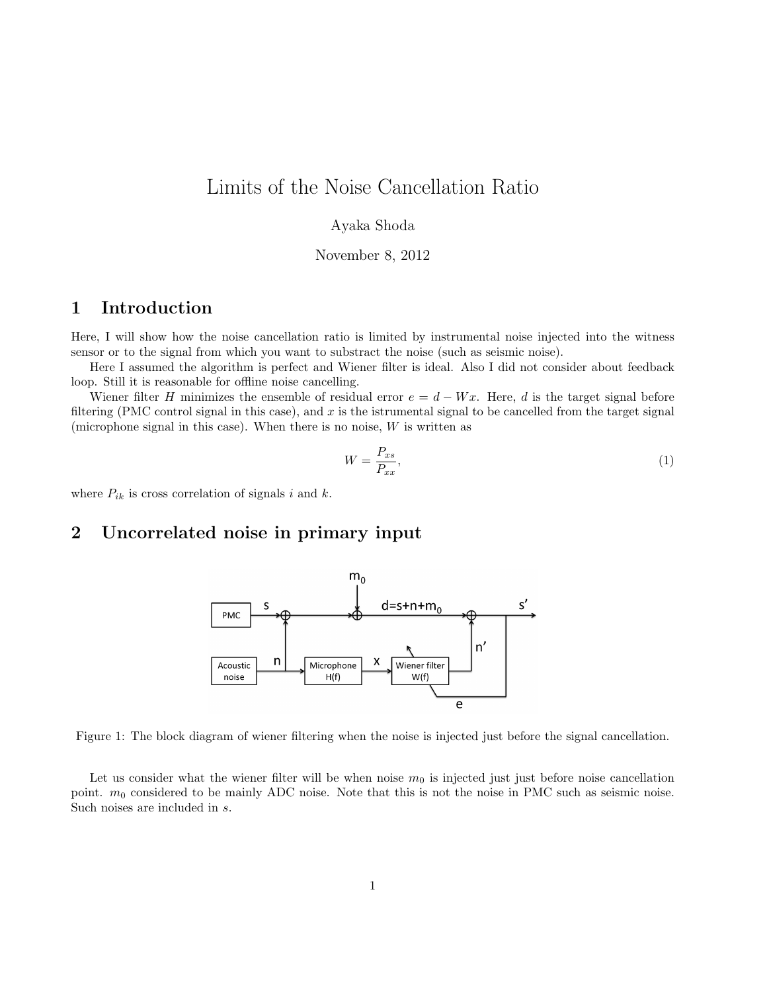# Limits of the Noise Cancellation Ratio

#### Ayaka Shoda

November 8, 2012

## **1 Introduction**

Here, I will show how the noise cancellation ratio is limited by instrumental noise injected into the witness sensor or to the signal from which you want to substract the noise (such as seismic noise).

Here I assumed the algorithm is perfect and Wiener filter is ideal. Also I did not consider about feedback loop. Still it is reasonable for offline noise cancelling.

Wiener filter *H* minimizes the ensemble of residual error  $e = d - Wx$ . Here, *d* is the target signal before filtering (PMC control signal in this case), and *x* is the istrumental signal to be cancelled from the target signal (microphone signal in this case). When there is no noise, *W* is written as

$$
W = \frac{P_{xs}}{P_{xx}},\tag{1}
$$

where  $P_{ik}$  is cross correlation of signals *i* and *k*.

### **2 Uncorrelated noise in primary input**



Figure 1: The block diagram of wiener filtering when the noise is injected just before the signal cancellation.

Let us consider what the wiener filter will be when noise  $m_0$  is injected just just before noise cancellation point. *m*<sub>0</sub> considered to be mainly ADC noise. Note that this is not the noise in PMC such as seismic noise. Such noises are included in *s*.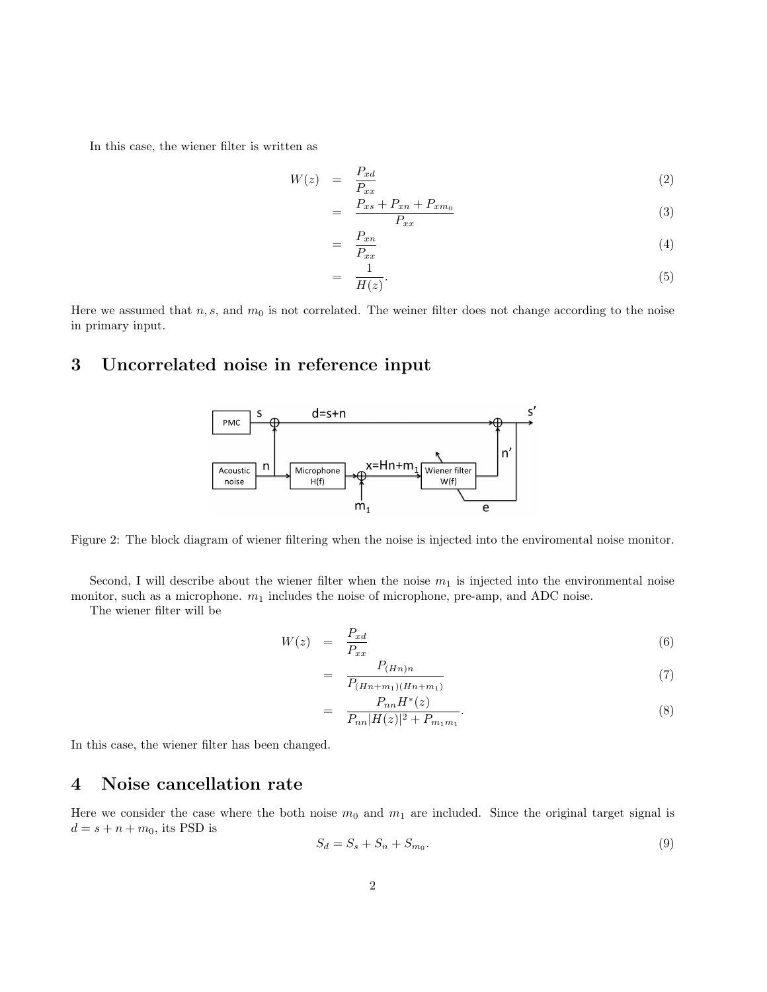In this case, the wiener filter is written as

$$
W(z) = \frac{P_{xd}}{P_{xx}} \tag{2}
$$

$$
= \frac{P_{xs} + P_{xn} + P_{xm_0}}{P_{xx}} \tag{3}
$$

$$
= \frac{P_{xn}}{P_{xx}} \tag{4}
$$

$$
= \frac{1}{H(z)}.\t\t(5)
$$

Here we assumed that  $n, s$ , and  $m_0$  is not correlated. The weiner filter does not change according to the noise in primary input.

## **3 Uncorrelated noise in reference input**



Figure 2: The block diagram of wiener filtering when the noise is injected into the enviromental noise monitor.

Second, I will describe about the wiener filter when the noise  $m_1$  is injected into the environmental noise monitor, such as a microphone.  $m_1$  includes the noise of microphone, pre-amp, and ADC noise.

The wiener filter will be

$$
W(z) = \frac{P_{xd}}{P_{xx}} \tag{6}
$$

$$
= \frac{P_{(Hn)n}}{P_{(Hn+m_1)(Hn+m_1)}}\tag{7}
$$

$$
= \frac{P_{nn}H^*(z)}{P_{nn}|H(z)|^2 + P_{m_1m_1}}.\tag{8}
$$

In this case, the wiener filter has been changed.

## **4 Noise cancellation rate**

Here we consider the case where the both noise  $m_0$  and  $m_1$  are included. Since the original target signal is  $d = s + n + m_0$ , its PSD is

$$
S_d = S_s + S_n + S_{m_0}.\tag{9}
$$